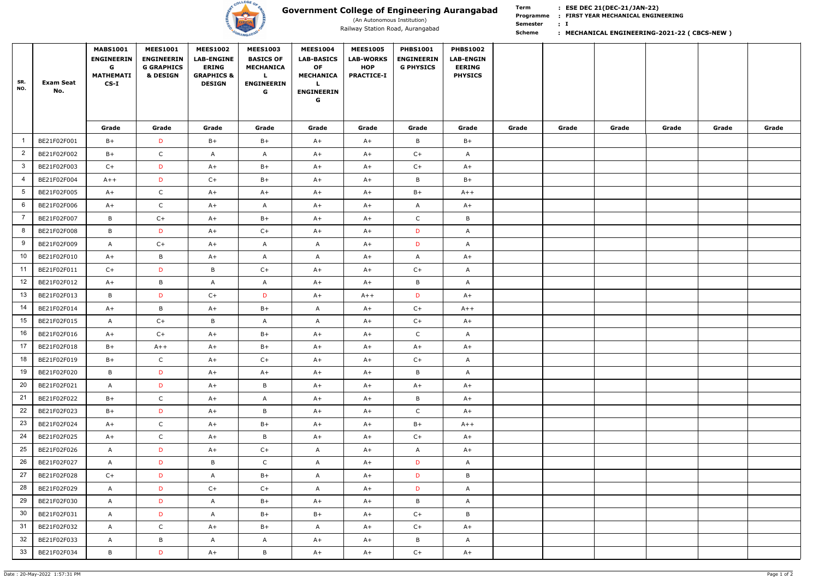

## **Government College of Engineering Aurangabad**

(An Autonomous Institution)

**Term Scheme FIRST YEAR MECHANICAL ENGINEERING Programme : I : Semester** 

# **:**

### Railway Station Road, Aurangabad **1986 March 1998 MECHANICAL ENGINEERING-2021-22 ( CBCS-NEW )** Railway Station Road, Aurangabad

| SR.<br>NO.      | Exam Seat<br>No. | <b>MABS1001</b><br><b>ENGINEERIN</b><br>G<br><b>MATHEMATI</b><br>$CS-I$ | <b>MEES1001</b><br><b>ENGINEERIN</b><br><b>G GRAPHICS</b><br><b>&amp; DESIGN</b> | <b>MEES1002</b><br><b>LAB-ENGINE</b><br><b>ERING</b><br><b>GRAPHICS &amp;</b><br><b>DESIGN</b> | <b>MEES1003</b><br><b>BASICS OF</b><br><b>MECHANICA</b><br>L.<br><b>ENGINEERIN</b><br>G | <b>MEES1004</b><br><b>LAB-BASICS</b><br><b>OF</b><br><b>MECHANICA</b><br>L.<br><b>ENGINEERIN</b><br>G | <b>MEES1005</b><br><b>LAB-WORKS</b><br><b>HOP</b><br><b>PRACTICE-I</b> | <b>PHBS1001</b><br><b>ENGINEERIN</b><br><b>G PHYSICS</b> | <b>PHBS1002</b><br><b>LAB-ENGIN</b><br><b>EERING</b><br><b>PHYSICS</b> |       |       |       |       |       |       |
|-----------------|------------------|-------------------------------------------------------------------------|----------------------------------------------------------------------------------|------------------------------------------------------------------------------------------------|-----------------------------------------------------------------------------------------|-------------------------------------------------------------------------------------------------------|------------------------------------------------------------------------|----------------------------------------------------------|------------------------------------------------------------------------|-------|-------|-------|-------|-------|-------|
|                 |                  | Grade                                                                   | Grade                                                                            | Grade                                                                                          | Grade                                                                                   | Grade                                                                                                 | Grade                                                                  | Grade                                                    | Grade                                                                  | Grade | Grade | Grade | Grade | Grade | Grade |
|                 | BE21F02F001      | $B+$                                                                    | D                                                                                | $B+$                                                                                           | $B+$                                                                                    | $A+$                                                                                                  | $A+$                                                                   | B                                                        | $B+$                                                                   |       |       |       |       |       |       |
| $\overline{2}$  | BE21F02F002      | $B+$                                                                    | $\mathsf{C}$                                                                     | A                                                                                              | $\mathsf{A}$                                                                            | $A+$                                                                                                  | $A+$                                                                   | $C+$                                                     | $\mathsf{A}$                                                           |       |       |       |       |       |       |
| $\mathbf{3}$    | BE21F02F003      | $C+$                                                                    | D                                                                                | $A+$                                                                                           | $B+$                                                                                    | $A+$                                                                                                  | $A+$                                                                   | $C+$                                                     | $A+$                                                                   |       |       |       |       |       |       |
| 4               | BE21F02F004      | $A++$                                                                   | D                                                                                | $C+$                                                                                           | $B+$                                                                                    | $A+$                                                                                                  | $A+$                                                                   | B                                                        | $B+$                                                                   |       |       |       |       |       |       |
| $5\phantom{.0}$ | BE21F02F005      | $A+$                                                                    | $\mathsf{C}$                                                                     | $A+$                                                                                           | $A+$                                                                                    | $A+$                                                                                                  | $A+$                                                                   | $B+$                                                     | $A++$                                                                  |       |       |       |       |       |       |
| 6               | BE21F02F006      | $A+$                                                                    | $\mathsf{C}$                                                                     | $A+$                                                                                           | $\mathsf{A}$                                                                            | $A+$                                                                                                  | $A+$                                                                   | $\mathsf{A}$                                             | $A+$                                                                   |       |       |       |       |       |       |
| 7               | BE21F02F007      | B                                                                       | $C+$                                                                             | $A+$                                                                                           | $B+$                                                                                    | $A+$                                                                                                  | $A+$                                                                   | $\mathsf{C}$                                             | B                                                                      |       |       |       |       |       |       |
| 8               | BE21F02F008      | B                                                                       | D                                                                                | $A+$                                                                                           | $C+$                                                                                    | $A+$                                                                                                  | $A+$                                                                   | D                                                        | $\mathsf{A}$                                                           |       |       |       |       |       |       |
| 9               | BE21F02F009      | A                                                                       | $C+$                                                                             | $A+$                                                                                           | $\mathsf{A}$                                                                            | A                                                                                                     | $A+$                                                                   | D                                                        | $\mathsf{A}$                                                           |       |       |       |       |       |       |
| 10              | BE21F02F010      | $A+$                                                                    | B                                                                                | $A+$                                                                                           | $\mathsf{A}$                                                                            | $\mathsf{A}$                                                                                          | $A+$                                                                   | $\mathsf{A}$                                             | $A+$                                                                   |       |       |       |       |       |       |
| 11              | BE21F02F011      | $C+$                                                                    | D                                                                                | B                                                                                              | $C+$                                                                                    | $A+$                                                                                                  | $A+$                                                                   | $C+$                                                     | $\mathsf{A}$                                                           |       |       |       |       |       |       |
| 12              | BE21F02F012      | $A+$                                                                    | B                                                                                | $\mathsf{A}$                                                                                   | $\mathsf{A}$                                                                            | $A+$                                                                                                  | $A+$                                                                   | B                                                        | $\mathsf{A}$                                                           |       |       |       |       |       |       |
| 13              | BE21F02F013      | B                                                                       | D                                                                                | $C+$                                                                                           | D                                                                                       | $A+$                                                                                                  | $A++$                                                                  | D                                                        | $A+$                                                                   |       |       |       |       |       |       |
| 14              | BE21F02F014      | $A+$                                                                    | B                                                                                | $A+$                                                                                           | $B+$                                                                                    | A                                                                                                     | $A+$                                                                   | $C+$                                                     | $A++$                                                                  |       |       |       |       |       |       |
| 15              | BE21F02F015      | $\mathsf{A}$                                                            | $C+$                                                                             | B                                                                                              | $\mathsf{A}$                                                                            | A                                                                                                     | $A+$                                                                   | $C+$                                                     | $A+$                                                                   |       |       |       |       |       |       |
| 16              | BE21F02F016      | $A+$                                                                    | $C+$                                                                             | $A+$                                                                                           | $B+$                                                                                    | $A+$                                                                                                  | A+                                                                     | $\mathsf{C}$                                             | $\mathsf{A}$                                                           |       |       |       |       |       |       |
| 17              | BE21F02F018      | $B+$                                                                    | $A++$                                                                            | $A+$                                                                                           | $B+$                                                                                    | $A+$                                                                                                  | $A+$                                                                   | $A+$                                                     | $A+$                                                                   |       |       |       |       |       |       |
| 18              | BE21F02F019      | $B+$                                                                    | $\mathsf{C}$                                                                     | $A+$                                                                                           | $C+$                                                                                    | $A+$                                                                                                  | $A+$                                                                   | $C+$                                                     | $\mathsf{A}$                                                           |       |       |       |       |       |       |
| 19              | BE21F02F020      | B                                                                       | D                                                                                | $A+$                                                                                           | $A+$                                                                                    | $A+$                                                                                                  | $A+$                                                                   | B                                                        | $\mathsf{A}$                                                           |       |       |       |       |       |       |
| 20              | BE21F02F021      | $\mathsf{A}$                                                            | D                                                                                | $A+$                                                                                           | B                                                                                       | $A+$                                                                                                  | $A+$                                                                   | $A+$                                                     | $A+$                                                                   |       |       |       |       |       |       |
| 21              | BE21F02F022      | $B+$                                                                    | $\mathsf{C}$                                                                     | $A+$                                                                                           | $\mathsf{A}$                                                                            | $A+$                                                                                                  | $A+$                                                                   | $\mathsf B$                                              | $A+$                                                                   |       |       |       |       |       |       |
| 22              | BE21F02F023      | $B+$                                                                    | D                                                                                | $A+$                                                                                           | B                                                                                       | $A+$                                                                                                  | $A+$                                                                   | $\mathsf{C}$                                             | $A+$                                                                   |       |       |       |       |       |       |
| 23              | BE21F02F024      | $A+$                                                                    | $\mathsf{C}$                                                                     | $A+$                                                                                           | $B+$                                                                                    | $A+$                                                                                                  | $A+$                                                                   | $B+$                                                     | $A++$                                                                  |       |       |       |       |       |       |
| 24              | BE21F02F025      | $A+$                                                                    | $\mathsf{C}$                                                                     | $A+$                                                                                           | B                                                                                       | $A+$                                                                                                  | $A+$                                                                   | $C+$                                                     | $A+$                                                                   |       |       |       |       |       |       |
| 25              | BE21F02F026      | $\mathsf{A}$                                                            | D                                                                                | $A+$                                                                                           | $C+$                                                                                    | $\mathsf{A}$                                                                                          | $A+$                                                                   | $\mathsf{A}$                                             | $A+$                                                                   |       |       |       |       |       |       |
| 26              | BE21F02F027      | $\mathsf{A}$                                                            | D                                                                                | $\mathsf B$                                                                                    | $\mathsf{C}$                                                                            | $\mathsf{A}$                                                                                          | $A+$                                                                   | D                                                        | $\mathsf{A}$                                                           |       |       |       |       |       |       |
| 27              | BE21F02F028      | $C+$                                                                    | D                                                                                | $\mathsf{A}$                                                                                   | $B+$                                                                                    | $\mathsf{A}$                                                                                          | $A+$                                                                   | D                                                        | B                                                                      |       |       |       |       |       |       |
| 28              | BE21F02F029      | $\mathsf{A}$                                                            | D                                                                                | $C+$                                                                                           | $C+$                                                                                    | $\mathsf{A}$                                                                                          | $A+$                                                                   | D                                                        | $\mathsf{A}$                                                           |       |       |       |       |       |       |
| 29              | BE21F02F030      | $\mathsf{A}$                                                            | D                                                                                | A                                                                                              | $B+$                                                                                    | $A+$                                                                                                  | $A+$                                                                   | B                                                        | $\mathsf{A}$                                                           |       |       |       |       |       |       |
| 30 <sup>°</sup> | BE21F02F031      | $\mathsf{A}$                                                            | D                                                                                | A                                                                                              | $B+$                                                                                    | $B+$                                                                                                  | $A+$                                                                   | $C+$                                                     | B                                                                      |       |       |       |       |       |       |
| 31              | BE21F02F032      | $\mathsf{A}$                                                            | $\mathsf{C}$                                                                     | $A+$                                                                                           | $B+$                                                                                    | $\mathsf{A}$                                                                                          | $A+$                                                                   | $C+$                                                     | $A+$                                                                   |       |       |       |       |       |       |
| 32              | BE21F02F033      | $\mathsf{A}$                                                            | $\mathsf B$                                                                      | $\mathsf{A}$                                                                                   | $\mathsf{A}$                                                                            | $A+$                                                                                                  | $A+$                                                                   | B                                                        | $\mathsf{A}$                                                           |       |       |       |       |       |       |
| 33              | BE21F02F034      | B                                                                       | D                                                                                | $A+$                                                                                           | B                                                                                       | $A+$                                                                                                  | $A+$                                                                   | $C+$                                                     | $A+$                                                                   |       |       |       |       |       |       |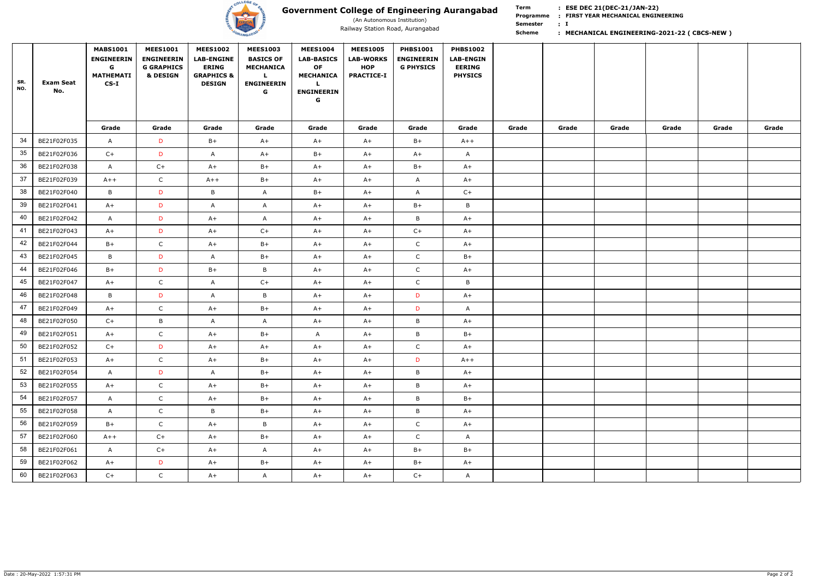

## **Government College of Engineering Aurangabad**

(An Autonomous Institution)

**Scheme** 

**Term FIRST YEAR MECHANICAL ENGINEERING Programme : I : Semester** 

# **:**

### Railway Station Road, Aurangabad **1986 March 1998 MECHANICAL ENGINEERING-2021-22 ( CBCS-NEW )** Railway Station Road, Aurangabad

| SR.<br>NO. | <b>Exam Seat</b><br>No. | <b>MABS1001</b><br><b>ENGINEERIN</b><br>G<br><b>MATHEMATI</b><br>$CS-I$ | <b>MEES1001</b><br><b>ENGINEERIN</b><br><b>G GRAPHICS</b><br>& DESIGN | <b>MEES1002</b><br><b>LAB-ENGINE</b><br><b>ERING</b><br><b>GRAPHICS &amp;</b><br><b>DESIGN</b> | <b>MEES1003</b><br><b>BASICS OF</b><br><b>MECHANICA</b><br>$\mathbf{L}$<br><b>ENGINEERIN</b><br>G | <b>MEES1004</b><br><b>LAB-BASICS</b><br><b>OF</b><br><b>MECHANICA</b><br><b>ENGINEERIN</b><br>G | <b>MEES1005</b><br><b>LAB-WORKS</b><br><b>HOP</b><br><b>PRACTICE-I</b> | <b>PHBS1001</b><br><b>ENGINEERIN</b><br><b>G PHYSICS</b> | <b>PHBS1002</b><br><b>LAB-ENGIN</b><br><b>EERING</b><br><b>PHYSICS</b> |       |       |       |       |       |       |
|------------|-------------------------|-------------------------------------------------------------------------|-----------------------------------------------------------------------|------------------------------------------------------------------------------------------------|---------------------------------------------------------------------------------------------------|-------------------------------------------------------------------------------------------------|------------------------------------------------------------------------|----------------------------------------------------------|------------------------------------------------------------------------|-------|-------|-------|-------|-------|-------|
|            |                         | Grade                                                                   | Grade                                                                 | Grade                                                                                          | Grade                                                                                             | Grade                                                                                           | Grade                                                                  | Grade                                                    | Grade                                                                  | Grade | Grade | Grade | Grade | Grade | Grade |
| 34         | BE21F02F035             | $\mathsf{A}$                                                            | D                                                                     | $B+$                                                                                           | $A+$                                                                                              | $A+$                                                                                            | $A+$                                                                   | $B+$                                                     | $A++$                                                                  |       |       |       |       |       |       |
| 35         | BE21F02F036             | $C+$                                                                    | D                                                                     | $\mathsf{A}$                                                                                   | $A+$                                                                                              | $B+$                                                                                            | $A+$                                                                   | $A+$                                                     | $\mathsf{A}$                                                           |       |       |       |       |       |       |
| 36         | BE21F02F038             | $\mathsf{A}$                                                            | $C+$                                                                  | $A+$                                                                                           | $B+$                                                                                              | $A+$                                                                                            | $A+$                                                                   | $B+$                                                     | $A+$                                                                   |       |       |       |       |       |       |
| 37         | BE21F02F039             | $A++$                                                                   | $\mathsf{C}$                                                          | $A++$                                                                                          | $B+$                                                                                              | $A+$                                                                                            | $A+$                                                                   | $\mathsf{A}$                                             | $A+$                                                                   |       |       |       |       |       |       |
| 38         | BE21F02F040             | $\mathsf B$                                                             | D                                                                     | B                                                                                              | A                                                                                                 | $B+$                                                                                            | $A+$                                                                   | $\mathsf{A}$                                             | $C+$                                                                   |       |       |       |       |       |       |
| 39         | BE21F02F041             | $A+$                                                                    | D                                                                     | $\mathsf{A}$                                                                                   | $\mathsf{A}$                                                                                      | $A+$                                                                                            | $A+$                                                                   | $B+$                                                     | $\mathsf B$                                                            |       |       |       |       |       |       |
| 40         | BE21F02F042             | $\mathsf{A}$                                                            | D                                                                     | $A+$                                                                                           | A                                                                                                 | $A+$                                                                                            | $A+$                                                                   | B                                                        | $A+$                                                                   |       |       |       |       |       |       |
| 41         | BE21F02F043             | $A+$                                                                    | D                                                                     | $A+$                                                                                           | $C+$                                                                                              | $A+$                                                                                            | $A+$                                                                   | $C+$                                                     | $A+$                                                                   |       |       |       |       |       |       |
| 42         | BE21F02F044             | $B+$                                                                    | $\mathsf{C}$                                                          | $A+$                                                                                           | $B+$                                                                                              | $A+$                                                                                            | $A+$                                                                   | $\mathsf{C}$                                             | $A+$                                                                   |       |       |       |       |       |       |
| 43         | BE21F02F045             | B                                                                       | D                                                                     | A                                                                                              | $B+$                                                                                              | $A+$                                                                                            | $A+$                                                                   | $\mathsf{C}$                                             | $B+$                                                                   |       |       |       |       |       |       |
| 44         | BE21F02F046             | $B+$                                                                    | D                                                                     | $B+$                                                                                           | B                                                                                                 | $A+$                                                                                            | $A+$                                                                   | ${\mathsf C}$                                            | $A+$                                                                   |       |       |       |       |       |       |
| 45         | BE21F02F047             | $A+$                                                                    | $\mathsf{C}$                                                          | A                                                                                              | $C+$                                                                                              | $A+$                                                                                            | $A+$                                                                   | $\mathsf C$                                              | B                                                                      |       |       |       |       |       |       |
| 46         | BE21F02F048             | $\, {\sf B} \,$                                                         | D                                                                     | $\mathsf{A}$                                                                                   | B                                                                                                 | $A+$                                                                                            | $A+$                                                                   | D                                                        | $A+$                                                                   |       |       |       |       |       |       |
| 47         | BE21F02F049             | $A+$                                                                    | $\mathsf{C}$                                                          | $A+$                                                                                           | $B+$                                                                                              | $A+$                                                                                            | $A+$                                                                   | D                                                        | $\mathsf{A}$                                                           |       |       |       |       |       |       |
| 48         | BE21F02F050             | $C+$                                                                    | B                                                                     | $\mathsf{A}$                                                                                   | $\mathsf{A}$                                                                                      | $A+$                                                                                            | $A+$                                                                   | B                                                        | $A+$                                                                   |       |       |       |       |       |       |
| 49         | BE21F02F051             | $A+$                                                                    | $\mathsf{C}$                                                          | $A+$                                                                                           | $B+$                                                                                              | A                                                                                               | $A+$                                                                   | B                                                        | $B+$                                                                   |       |       |       |       |       |       |
| 50         | BE21F02F052             | $C+$                                                                    | D                                                                     | $A+$                                                                                           | $A+$                                                                                              | $A+$                                                                                            | $A+$                                                                   | $\mathsf{C}$                                             | $A+$                                                                   |       |       |       |       |       |       |
| 51         | BE21F02F053             | $A+$                                                                    | $\mathsf{C}$                                                          | $A+$                                                                                           | $B+$                                                                                              | $A+$                                                                                            | $A+$                                                                   | D                                                        | $A++$                                                                  |       |       |       |       |       |       |
| 52         | BE21F02F054             | $\mathsf{A}$                                                            | D                                                                     | $\mathsf{A}$                                                                                   | $B+$                                                                                              | $A+$                                                                                            | $A+$                                                                   | $\mathsf B$                                              | $A+$                                                                   |       |       |       |       |       |       |
| 53         | BE21F02F055             | $A+$                                                                    | $\mathsf{C}$                                                          | $A+$                                                                                           | $B+$                                                                                              | $A+$                                                                                            | $A+$                                                                   | $\, {\sf B} \,$                                          | $A+$                                                                   |       |       |       |       |       |       |
| 54         | BE21F02F057             | $\mathsf{A}$                                                            | $\mathsf{C}$                                                          | $A+$                                                                                           | $B+$                                                                                              | $A+$                                                                                            | $A+$                                                                   | $\, {\sf B} \,$                                          | $B+$                                                                   |       |       |       |       |       |       |
| 55         | BE21F02F058             | $\mathsf{A}$                                                            | $\mathsf{C}$                                                          | $\mathsf B$                                                                                    | $B+$                                                                                              | $A+$                                                                                            | $A+$                                                                   | $\mathsf{B}$                                             | $A+$                                                                   |       |       |       |       |       |       |
| 56         | BE21F02F059             | $B+$                                                                    | $\mathsf{C}$                                                          | $A+$                                                                                           | B                                                                                                 | $A+$                                                                                            | $A+$                                                                   | $\mathsf C$                                              | $A+$                                                                   |       |       |       |       |       |       |
| 57         | BE21F02F060             | $A++$                                                                   | $C+$                                                                  | $A+$                                                                                           | $B+$                                                                                              | $A+$                                                                                            | $A+$                                                                   | $\mathsf C$                                              | $\mathsf{A}$                                                           |       |       |       |       |       |       |
| 58         | BE21F02F061             | $\mathsf{A}$                                                            | $C+$                                                                  | $A+$                                                                                           | $\mathsf{A}$                                                                                      | $A+$                                                                                            | $A+$                                                                   | $B+$                                                     | $B+$                                                                   |       |       |       |       |       |       |
| 59         | BE21F02F062             | $A+$                                                                    | D                                                                     | $A+$                                                                                           | $B+$                                                                                              | $A+$                                                                                            | $A+$                                                                   | $B+$                                                     | $A+$                                                                   |       |       |       |       |       |       |
| 60         | BE21F02F063             | $C+$                                                                    | $\mathsf{C}$                                                          | $A+$                                                                                           | $\mathsf{A}$                                                                                      | $A+$                                                                                            | $A+$                                                                   | $C+$                                                     | $\mathsf{A}$                                                           |       |       |       |       |       |       |